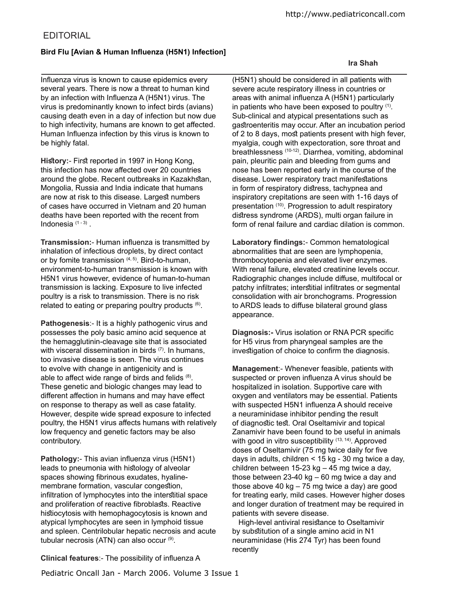# **EDITORIAL**

## Bird Flu [Avian & Human Influenza (H5N1) Infection]

Influenza virus is known to cause epidemics every several years. There is now a threat to human kind by an infection with Influenza A (H5N1) virus. The virus is predominantly known to infect birds (avians) causing death even in a day of infection but now due to high infectivity, humans are known to get afected. Human Influenza infection by this virus is known to be highly fatal.

History:- First reported in 1997 in Hong Kong, this infection has now afected over 20 countries around the globe. Recent outbreaks in Kazakhstan, Mongolia, Russia and India indicate that humans are now at risk to this disease. Largest numbers of cases have occurred in Vietnam and 20 human deaths have been reported with the recent from Indonesia $(1-3)$ .

**Transmission:**- Human influenza is transmitted by inhalation of infectious droplets, by direct contact or by fomite transmission  $(4, 5)$ . Bird-to-human, environment-to-human transmission is known with H5N1 virus however, evidence of human-to-human transmission is lacking. Exposure to live infected poultry is a risk to transmission. There is no risk related to eating or preparing poultry products (6).

**Pathogenesis**:- It is a highly pathogenic virus and possesses the poly basic amino acid sequence at the hemagglutinin-cleavage site that is associated with visceral dissemination in birds (7). In humans, too invasive disease is seen. The virus continues to evolve with change in antigenicity and is able to affect wide range of birds and felids  $(8)$ . These genetic and biologic changes may lead to diferent afection in humans and may have efect on response to therapy as well as case fatality. However, despite wide spread exposure to infected poultry, the H5N1 virus afects humans with relatively low frequency and genetic factors may be also contributory.

**Pathology:**- This avian influenza virus (H5N1) leads to pneumonia with histology of alveolar spaces showing ibrinous exudates, hyalinemembrane formation, vascular congestion, infiltration of lymphocytes into the interstitial space and proliferation of reactive fibroblasts. Reactive histiocytosis with hemophagocytosis is known and atypical lymphocytes are seen in lymphoid tissue and spleen. Centrilobular hepatic necrosis and acute tubular necrosis (ATN) can also occur (9).

(H5N1) should be considered in all patients with severe acute respiratory illness in countries or areas with animal influenza A (H5N1) particularly in patients who have been exposed to poultry  $(1)$ . Sub-clinical and atypical presentations such as gatroenteritis may occur. After an incubation period of 2 to 8 days, most patients present with high fever, myalgia, cough with expectoration, sore throat and breathlessness (10-12). Diarrhea, vomiting, abdominal pain, pleuritic pain and bleeding from gums and nose has been reported early in the course of the disease. Lower respiratory tract manifestations in form of respiratory distress, tachypnea and inspiratory crepitations are seen with 1-16 days of presentation (10). Progression to adult respiratory distress syndrome (ARDS), multi organ failure in form of renal failure and cardiac dilation is common.

**Laboratory indings:**- Common hematological abnormalities that are seen are lymphopenia, thrombocytopenia and elevated liver enzymes. With renal failure, elevated creatinine levels occur. Radiographic changes include difuse, multifocal or patchy infiltrates; interstitial infiltrates or segmental consolidation with air bronchograms. Progression to ARDS leads to difuse bilateral ground glass appearance.

**Diagnosis:-** Virus isolation or RNA PCR specific for H5 virus from pharyngeal samples are the investigation of choice to confirm the diagnosis.

**Management**:- Whenever feasible, patients with suspected or proven influenza A virus should be hospitalized in isolation. Supportive care with oxygen and ventilators may be essential. Patients with suspected H5N1 influenza A should receive a neuraminidase inhibitor pending the result of diagnostic test. Oral Oseltamivir and topical Zanamivir have been found to be useful in animals with good in vitro susceptibility  $(13, 14)$ . Approved doses of Oseltamivir (75 mg twice daily for five days in adults, children < 15 kg - 30 mg twice a day, children between 15-23 kg – 45 mg twice a day, those between 23-40 kg – 60 mg twice a day and those above 40 kg – 75 mg twice a day) are good for treating early, mild cases. However higher doses and longer duration of treatment may be required in patients with severe disease.

High-level antiviral resistance to Oseltamivir by substitution of a single amino acid in N1 neuraminidase (His 274 Tyr) has been found recently

### **Clinical features:- The possibility of influenza A**

Pediatric Oncall Jan - March 2006. Volume 3 Issue 1

### **Ira Shah**